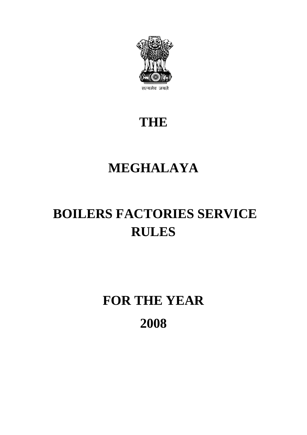

### **THE**

## **MEGHALAYA**

# **BOILERS FACTORIES SERVICE RULES**

# **FOR THE YEAR 2008**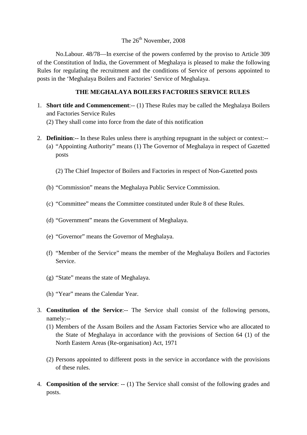#### The  $26<sup>th</sup>$  November, 2008

No.Labour. 48/78—In exercise of the powers conferred by the proviso to Article 309 of the Constitution of India, the Government of Meghalaya is pleased to make the following Rules for regulating the recruitment and the conditions of Service of persons appointed to posts in the 'Meghalaya Boilers and Factories' Service of Meghalaya.

#### **THE MEGHALAYA BOILERS FACTORIES SERVICE RULES**

- 1. **Short title and Commencement**:-- (1) These Rules may be called the Meghalaya Boilers and Factories Service Rules (2) They shall come into force from the date of this notification
- 2. **Definition**:-- In these Rules unless there is anything repugnant in the subject or context:-- (a) "Appointing Authority" means (1) The Governor of Meghalaya in respect of Gazetted posts
	- (2) The Chief Inspector of Boilers and Factories in respect of Non-Gazetted posts
	- (b) "Commission" means the Meghalaya Public Service Commission.
	- (c) "Committee" means the Committee constituted under Rule 8 of these Rules.
	- (d) "Government" means the Government of Meghalaya.
	- (e) "Governor" means the Governor of Meghalaya.
	- (f) "Member of the Service" means the member of the Meghalaya Boilers and Factories Service.
	- (g) "State" means the state of Meghalaya.
	- (h) "Year" means the Calendar Year.
- 3. **Constitution of the Service**:-- The Service shall consist of the following persons, namely:--
	- (1) Members of the Assam Boilers and the Assam Factories Service who are allocated to the State of Meghalaya in accordance with the provisions of Section 64 (1) of the North Eastern Areas (Re-organisation) Act, 1971
	- (2) Persons appointed to different posts in the service in accordance with the provisions of these rules.
- 4. **Composition of the service**: -- (1) The Service shall consist of the following grades and posts.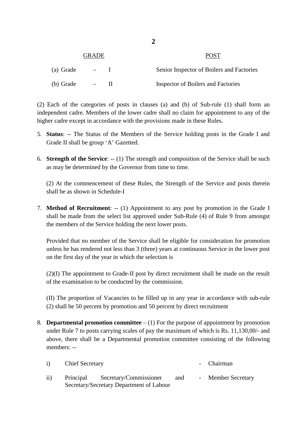| <b>GRADE</b> |                  |  | <b>POST</b>                               |
|--------------|------------------|--|-------------------------------------------|
| (a) Grade    |                  |  | Senior Inspector of Boilers and Factories |
| (b) Grade    | $\hspace{0.1mm}$ |  | Inspector of Boilers and Factories        |

(2) Each of the categories of posts in clauses (a) and (b) of Sub-rule (1) shall form an independent cadre. Members of the lower cadre shall no claim for appointment to any of the higher cadre except in accordance with the provisions made in these Rules.

- 5. **Status**: -- The Status of the Members of the Service holding posts in the Grade I and Grade II shall be group 'A' Gazetted.
- 6. **Strength of the Service**: -- (1) The strength and composition of the Service shall be such as may be determined by the Governor from time to time.

(2) At the commencement of these Rules, the Strength of the Service and posts therein shall be as shown in Schedule-I

7. **Method of Recruitment**: -- (1) Appointment to any post by promotion in the Grade I shall be made from the select list approved under Sub-Rule (4) of Rule 9 from amongst the members of the Service holding the next lower posts.

Provided that no member of the Service shall be eligible for consideration for promotion unless he has rendered not less than 3 (three) years at continuous Service in the lower post on the first day of the year in which the selection is

(2)(I) The appointment to Grade-II post by direct recruitment shall be made on the result of the examination to be conducted by the commission.

(II) The proportion of Vacancies to be filled up in any year in accordance with sub-rule (2) shall be 50 percent by promotion and 50 percent by direct recruitment

8. **Departmental promotion committee** – (1) For the purpose of appointment by promotion under Rule 7 to posts carrying scales of pay the maximum of which is Rs. 11,130,00/- and above, there shall be a Departmental promotion committee consisting of the following members: --

| $\mathbf{i}$ ) | <b>Chief Secretary</b> |                                                                              |     | - Chairman         |  |
|----------------|------------------------|------------------------------------------------------------------------------|-----|--------------------|--|
| $\rm ii)$      |                        | Principal Secretary/Commissioner<br>Secretary/Secretary Department of Labour | and | - Member Secretary |  |

**2**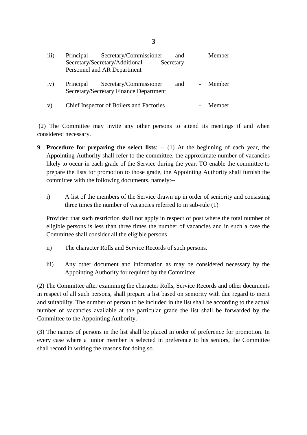| iii) | Principal | Secretary/Commissioner<br>Secretary/Secretary/Additional<br>Personnel and AR Department | and<br>Secretary | Member   |
|------|-----------|-----------------------------------------------------------------------------------------|------------------|----------|
| iv)  | Principal | Secretary/Commissioner<br>Secretary/Secretary Finance Department                        | and              | - Member |
| V)   |           | Chief Inspector of Boilers and Factories                                                |                  | Member   |

(2) The Committee may invite any other persons to attend its meetings if and when considered necessary.

- 9. **Procedure for preparing the select lists**: -- (1) At the beginning of each year, the Appointing Authority shall refer to the committee, the approximate number of vacancies likely to occur in each grade of the Service during the year. TO enable the committee to prepare the lists for promotion to those grade, the Appointing Authority shall furnish the committee with the following documents, namely:-
	- i) A list of the members of the Service drawn up in order of seniority and consisting three times the number of vacancies referred to in sub-rule (1)

Provided that such restriction shall not apply in respect of post where the total number of eligible persons is less than three times the number of vacancies and in such a case the Committee shall consider all the eligible persons

- ii) The character Rolls and Service Records of such persons.
- iii) Any other document and information as may be considered necessary by the Appointing Authority for required by the Committee

(2) The Committee after examining the character Rolls, Service Records and other documents in respect of all such persons, shall prepare a list based on seniority with due regard to merit and suitability. The number of person to be included in the list shall be according to the actual number of vacancies available at the particular grade the list shall be forwarded by the Committee to the Appointing Authority.

(3) The names of persons in the list shall be placed in order of preference for promotion. In every case where a junior member is selected in preference to his seniors, the Committee shall record in writing the reasons for doing so.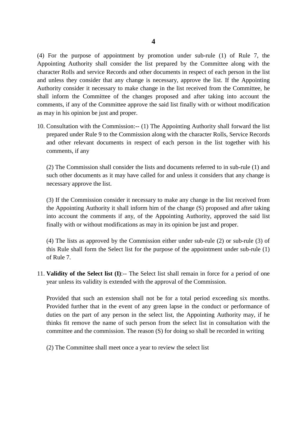(4) For the purpose of appointment by promotion under sub-rule (1) of Rule 7, the Appointing Authority shall consider the list prepared by the Committee along with the character Rolls and service Records and other documents in respect of each person in the list and unless they consider that any change is necessary, approve the list. If the Appointing Authority consider it necessary to make change in the list received from the Committee, he shall inform the Committee of the changes proposed and after taking into account the comments, if any of the Committee approve the said list finally with or without modification as may in his opinion be just and proper.

10. Consultation with the Commission:-- (1) The Appointing Authority shall forward the list prepared under Rule 9 to the Commission along with the character Rolls, Service Records and other relevant documents in respect of each person in the list together with his comments, if any

(2) The Commission shall consider the lists and documents referred to in sub-rule (1) and such other documents as it may have called for and unless it considers that any change is necessary approve the list.

(3) If the Commission consider it necessary to make any change in the list received from the Appointing Authority it shall inform him of the change (S) proposed and after taking into account the comments if any, of the Appointing Authority, approved the said list finally with or without modifications as may in its opinion be just and proper.

(4) The lists as approved by the Commission either under sub-rule (2) or sub-rule (3) of this Rule shall form the Select list for the purpose of the appointment under sub-rule (1) of Rule 7.

11. **Validity of the Select list (I)**:-- The Select list shall remain in force for a period of one year unless its validity is extended with the approval of the Commission.

Provided that such an extension shall not be for a total period exceeding six months. Provided further that in the event of any green lapse in the conduct or performance of duties on the part of any person in the select list, the Appointing Authority may, if he thinks fit remove the name of such person from the select list in consultation with the committee and the commission. The reason (S) for doing so shall be recorded in writing

(2) The Committee shall meet once a year to review the select list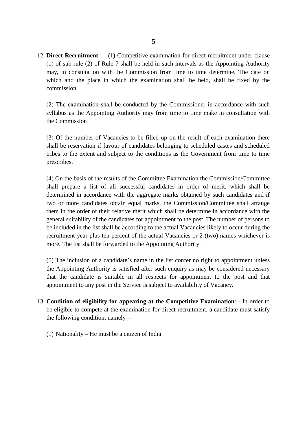12. **Direct Recruitment**: -- (1) Competitive examination for direct recruitment under clause (1) of sub-rule (2) of Rule 7 shall be held in such intervals as the Appointing Authority may, in consultation with the Commission from time to time determine. The date on which and the place in which the examination shall be held, shall be fixed by the commission.

(2) The examination shall be conducted by the Commissioner in accordance with such syllabus as the Appointing Authority may from time to time make in consultation with the Commission

(3) Of the number of Vacancies to be filled up on the result of each examination there shall be reservation if favour of candidates belonging to scheduled castes and scheduled tribes to the extent and subject to the conditions as the Government from time to time prescribes.

(4) On the basis of the results of the Committee Examination the Commission/Committee shall prepare a list of all successful candidates in order of merit, which shall be determined in accordance with the aggregate marks obtained by such candidates and if two or more candidates obtain equal marks, the Commission/Committee shall arrange them in the order of their relative merit which shall be determine in accordance with the general suitability of the candidates for appointment to the post. The number of persons to be included in the list shall be according to the actual Vacancies likely to occur during the recruitment year plus ten percent of the actual Vacancies or 2 (two) names whichever is more. The list shall be forwarded to the Appointing Authority.

(5) The inclusion of a candidate's name in the list confer no right to appointment unless the Appointing Authority is satisfied after such enquiry as may be considered necessary that the candidate is suitable in all respects for appointment to the post and that appointment to any post in the Service is subject to availability of Vacancy.

- 13. **Condition of eligibility for appearing at the Competitive Examination**:-- In order to be eligible to compete at the examination for direct recruitment, a candidate must satisfy the following condition, namely—
	- (1) Nationality He must be a citizen of India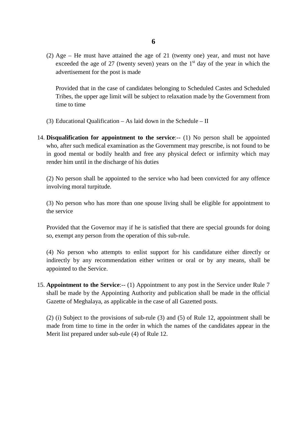(2) Age – He must have attained the age of 21 (twenty one) year, and must not have exceeded the age of 27 (twenty seven) years on the  $1<sup>st</sup>$  day of the year in which the advertisement for the post is made

Provided that in the case of candidates belonging to Scheduled Castes and Scheduled Tribes, the upper age limit will be subject to relaxation made by the Government from time to time

- (3) Educational Qualification As laid down in the Schedule II
- 14. **Disqualification for appointment to the service**:-- (1) No person shall be appointed who, after such medical examination as the Government may prescribe, is not found to be in good mental or bodily health and free any physical defect or infirmity which may render him until in the discharge of his duties

(2) No person shall be appointed to the service who had been convicted for any offence involving moral turpitude.

(3) No person who has more than one spouse living shall be eligible for appointment to the service

Provided that the Governor may if he is satisfied that there are special grounds for doing so, exempt any person from the operation of this sub-rule.

(4) No person who attempts to enlist support for his candidature either directly or indirectly by any recommendation either written or oral or by any means, shall be appointed to the Service.

15. **Appointment to the Service**:-- (1) Appointment to any post in the Service under Rule 7 shall be made by the Appointing Authority and publication shall be made in the official Gazette of Meghalaya, as applicable in the case of all Gazetted posts.

(2) (i) Subject to the provisions of sub-rule (3) and (5) of Rule 12, appointment shall be made from time to time in the order in which the names of the candidates appear in the Merit list prepared under sub-rule (4) of Rule 12.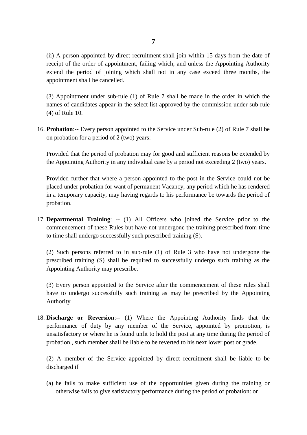(ii) A person appointed by direct recruitment shall join within 15 days from the date of receipt of the order of appointment, failing which, and unless the Appointing Authority extend the period of joining which shall not in any case exceed three months, the appointment shall be cancelled.

(3) Appointment under sub-rule (1) of Rule 7 shall be made in the order in which the names of candidates appear in the select list approved by the commission under sub-rule (4) of Rule 10.

16. **Probation**:-- Every person appointed to the Service under Sub-rule (2) of Rule 7 shall be on probation for a period of 2 (two) years:

Provided that the period of probation may for good and sufficient reasons be extended by the Appointing Authority in any individual case by a period not exceeding 2 (two) years.

Provided further that where a person appointed to the post in the Service could not be placed under probation for want of permanent Vacancy, any period which he has rendered in a temporary capacity, may having regards to his performance be towards the period of probation.

17. **Departmental Training**: -- (1) All Officers who joined the Service prior to the commencement of these Rules but have not undergone the training prescribed from time to time shall undergo successfully such prescribed training (S).

(2) Such persons referred to in sub-rule (1) of Rule 3 who have not undergone the prescribed training (S) shall be required to successfully undergo such training as the Appointing Authority may prescribe.

(3) Every person appointed to the Service after the commencement of these rules shall have to undergo successfully such training as may be prescribed by the Appointing Authority

18. **Discharge or Reversion**:-- (1) Where the Appointing Authority finds that the performance of duty by any member of the Service, appointed by promotion, is unsatisfactory or where he is found unfit to hold the post at any time during the period of probation., such member shall be liable to be reverted to his next lower post or grade.

(2) A member of the Service appointed by direct recruitment shall be liable to be discharged if

(a) he fails to make sufficient use of the opportunities given during the training or otherwise fails to give satisfactory performance during the period of probation: or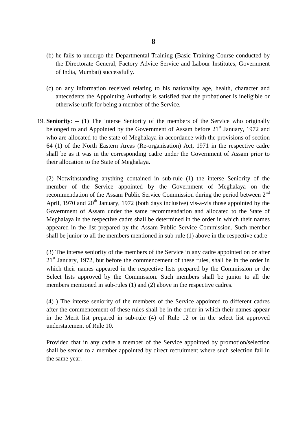- (b) he fails to undergo the Departmental Training (Basic Training Course conducted by the Directorate General, Factory Advice Service and Labour Institutes, Government of India, Mumbai) successfully.
- (c) on any information received relating to his nationality age, health, character and antecedents the Appointing Authority is satisfied that the probationer is ineligible or otherwise unfit for being a member of the Service.
- 19. **Seniority**: -- (1) The interse Seniority of the members of the Service who originally belonged to and Appointed by the Government of Assam before  $21<sup>st</sup>$  January, 1972 and who are allocated to the state of Meghalaya in accordance with the provisions of section 64 (1) of the North Eastern Areas (Re-organisation) Act, 1971 in the respective cadre shall be as it was in the corresponding cadre under the Government of Assam prior to their allocation to the State of Meghalaya.

(2) Notwithstanding anything contained in sub-rule (1) the interse Seniority of the member of the Service appointed by the Government of Meghalaya on the recommendation of the Assam Public Service Commission during the period between 2nd April, 1970 and  $20<sup>th</sup>$  January, 1972 (both days inclusive) vis-a-vis those appointed by the Government of Assam under the same recommendation and allocated to the State of Meghalaya in the respective cadre shall be determined in the order in which their names appeared in the list prepared by the Assam Public Service Commission. Such member shall be junior to all the members mentioned in sub-rule (1) above in the respective cadre

(3) The interse seniority of the members of the Service in any cadre appointed on or after  $21<sup>st</sup>$  January, 1972, but before the commencement of these rules, shall be in the order in which their names appeared in the respective lists prepared by the Commission or the Select lists approved by the Commission. Such members shall be junior to all the members mentioned in sub-rules (1) and (2) above in the respective cadres.

(4) ) The interse seniority of the members of the Service appointed to different cadres after the commencement of these rules shall be in the order in which their names appear in the Merit list prepared in sub-rule (4) of Rule 12 or in the select list approved understatement of Rule 10.

Provided that in any cadre a member of the Service appointed by promotion/selection shall be senior to a member appointed by direct recruitment where such selection fail in the same year.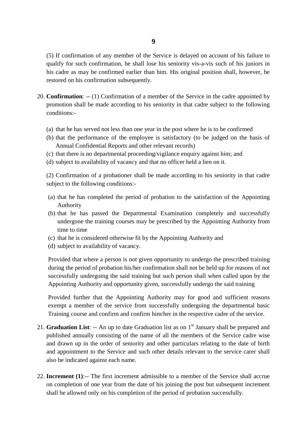(5) If confirmation of any member of the Service is delayed on account of his failure to qualify for such confirmation, he shall lose his seniority vis-a-vis such of his juniors in his cadre as may be confirmed earlier than him. His original position shall, however, be restored on his confirmation subsequently.

- 20. **Confirmation**: -- (1) Confirmation of a member of the Service in the cadre appointed by promotion shall be made according to his seniority in that cadre subject to the following conditions:-
	- (a) that he has served not less than one year in the post where he is to be confirmed
	- (b) that the performance of the employee is satisfactory (to be judged on the basis of Annual Confidential Reports and other relevant records)
	- (c) that there is no departmental proceeding/vigilance enquiry against him; and
	- (d) subject to availability of vacancy and that no officer held a lien on it.

(2) Confirmation of a probationer shall be made according to his seniority in that cadre subject to the following conditions:-

- (a) that he has completed the period of probation to the satisfaction of the Appointing Authority
- (b) that he has passed the Departmental Examination completely and successfully undergone the training courses may be prescribed by the Appointing Authority from time to time
- (c) that he is considered otherwise fit by the Appointing Authority and
- (d) subject to availability of vacancy.

Provided that where a person is not given opportunity to undergo the prescribed training during the period of probation his/her confirmation shall not be held up for reasons of not successfully undergoing the said training but such person shall when called upon by the Appointing Authority and opportunity given, successfully undergo the said training

Provided further that the Appointing Authority may for good and sufficient reasons exempt a member of the service from successfully undergoing the departmental basic Training course and confirm and confirm him/her in the respective cadre of the service.

- 21. **Graduation List**: -- An up to date Graduation list as on 1<sup>st</sup> January shall be prepared and published annually consisting of the name of all the members of the Service cadre wise and drawn up in the order of seniority and other particulars relating to the date of birth and appointment to the Service and such other details relevant to the service carer shall also be indicated against each name.
- 22. **Increment (1)**:-- The first increment admissible to a member of the Service shall accrue on completion of one year from the date of his joining the post but subsequent increment shall be allowed only on his completion of the period of probation successfully.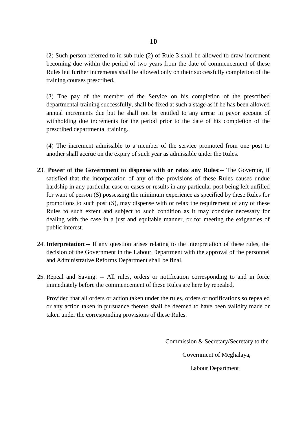(2) Such person referred to in sub-rule (2) of Rule 3 shall be allowed to draw increment becoming due within the period of two years from the date of commencement of these Rules but further increments shall be allowed only on their successfully completion of the training courses prescribed.

(3) The pay of the member of the Service on his completion of the prescribed departmental training successfully, shall be fixed at such a stage as if he has been allowed annual increments due but he shall not be entitled to any arrear in payor account of withholding due increments for the period prior to the date of his completion of the prescribed departmental training.

(4) The increment admissible to a member of the service promoted from one post to another shall accrue on the expiry of such year as admissible under the Rules.

- 23. **Power of the Government to dispense with or relax any Rules**:-- The Governor, if satisfied that the incorporation of any of the provisions of these Rules causes undue hardship in any particular case or cases or results in any particular post being left unfilled for want of person (S) possessing the minimum experience as specified by these Rules for promotions to such post (S), may dispense with or relax the requirement of any of these Rules to such extent and subject to such condition as it may consider necessary for dealing with the case in a just and equitable manner, or for meeting the exigencies of public interest.
- 24. **Interpretation**:-- If any question arises relating to the interpretation of these rules, the decision of the Government in the Labour Department with the approval of the personnel and Administrative Reforms Department shall be final.
- 25. Repeal and Saving: -- All rules, orders or notification corresponding to and in force immediately before the commencement of these Rules are here by repealed.

Provided that all orders or action taken under the rules, orders or notifications so repealed or any action taken in pursuance thereto shall be deemed to have been validity made or taken under the corresponding provisions of these Rules.

Commission & Secretary/Secretary to the

Government of Meghalaya,

Labour Department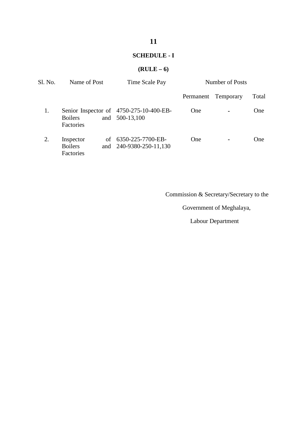#### **SCHEDULE - I**

#### **(RULE – 6)**

| Sl. No. | Name of Post                             | Time Scale Pay                                         | Number of Posts |                     |       |
|---------|------------------------------------------|--------------------------------------------------------|-----------------|---------------------|-------|
|         |                                          |                                                        |                 | Permanent Temporary | Total |
| 1.      | <b>Boilers</b><br>and<br>Factories       | Senior Inspector of 4750-275-10-400-EB-<br>500-13,100  | <b>One</b>      | $\blacksquare$      | One   |
| 2.      | Inspector<br><b>Boilers</b><br>Factories | of $6350 - 225 - 7700 - EB$<br>and 240-9380-250-11,130 | <b>One</b>      | $\blacksquare$      | One.  |

Commission & Secretary/Secretary to the

Government of Meghalaya,

Labour Department